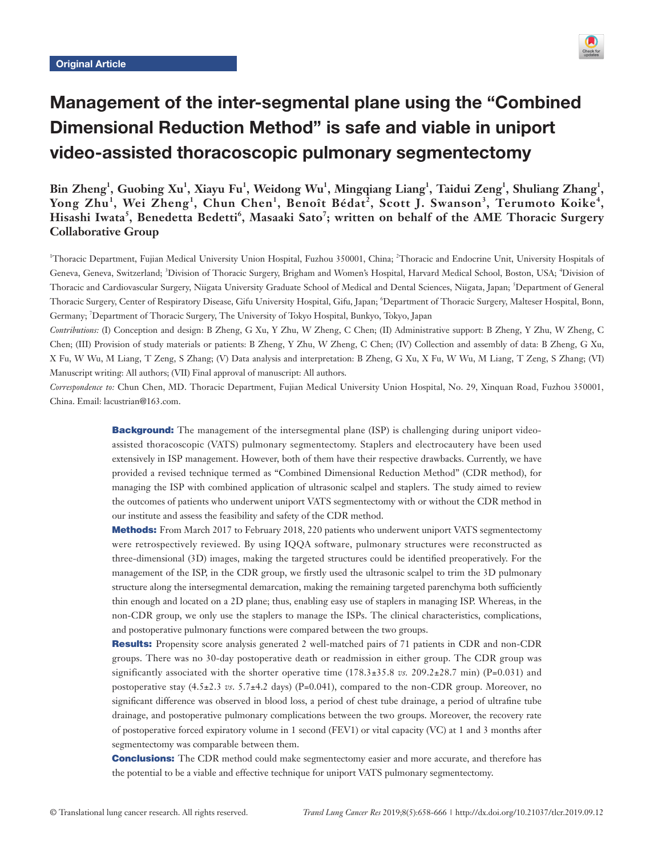

# Management of the inter-segmental plane using the "Combined Dimensional Reduction Method" is safe and viable in uniport video-assisted thoracoscopic pulmonary segmentectomy

Bin Zheng<sup>1</sup>, Guobing Xu<sup>1</sup>, Xiayu Fu<sup>1</sup>, Weidong Wu<sup>1</sup>, Mingqiang Liang<sup>1</sup>, Taidui Zeng<sup>1</sup>, Shuliang Zhang<sup>1</sup>, **Yong Zhu<sup>1</sup> , Wei Zheng<sup>1</sup> , Chun Chen<sup>1</sup> , Benoît Bédat<sup>2</sup> , Scott J. Swanson<sup>3</sup> , Terumoto Koike<sup>4</sup> , Hisashi Iwata<sup>5</sup> , Benedetta Bedetti<sup>6</sup> , Masaaki Sato<sup>7</sup> ; written on behalf of the AME Thoracic Surgery Collaborative Group**

<sup>1</sup>Thoracic Department, Fujian Medical University Union Hospital, Fuzhou 350001, China; <sup>2</sup>Thoracic and Endocrine Unit, University Hospitals of Geneva, Geneva, Switzerland; <sup>3</sup>Division of Thoracic Surgery, Brigham and Women's Hospital, Harvard Medical School, Boston, USA; <sup>4</sup>Division of Thoracic and Cardiovascular Surgery, Niigata University Graduate School of Medical and Dental Sciences, Niigata, Japan; <sup>5</sup> Department of General Thoracic Surgery, Center of Respiratory Disease, Gifu University Hospital, Gifu, Japan; <sup>6</sup>Department of Thoracic Surgery, Malteser Hospital, Bonn, Germany; 7 Department of Thoracic Surgery, The University of Tokyo Hospital, Bunkyo, Tokyo, Japan

*Contributions:* (I) Conception and design: B Zheng, G Xu, Y Zhu, W Zheng, C Chen; (II) Administrative support: B Zheng, Y Zhu, W Zheng, C Chen; (III) Provision of study materials or patients: B Zheng, Y Zhu, W Zheng, C Chen; (IV) Collection and assembly of data: B Zheng, G Xu, X Fu, W Wu, M Liang, T Zeng, S Zhang; (V) Data analysis and interpretation: B Zheng, G Xu, X Fu, W Wu, M Liang, T Zeng, S Zhang; (VI) Manuscript writing: All authors; (VII) Final approval of manuscript: All authors.

*Correspondence to:* Chun Chen, MD. Thoracic Department, Fujian Medical University Union Hospital, No. 29, Xinquan Road, Fuzhou 350001, China. Email: lacustrian@163.com.

> **Background:** The management of the intersegmental plane (ISP) is challenging during uniport videoassisted thoracoscopic (VATS) pulmonary segmentectomy. Staplers and electrocautery have been used extensively in ISP management. However, both of them have their respective drawbacks. Currently, we have provided a revised technique termed as "Combined Dimensional Reduction Method" (CDR method), for managing the ISP with combined application of ultrasonic scalpel and staplers. The study aimed to review the outcomes of patients who underwent uniport VATS segmentectomy with or without the CDR method in our institute and assess the feasibility and safety of the CDR method.

> Methods: From March 2017 to February 2018, 220 patients who underwent uniport VATS segmentectomy were retrospectively reviewed. By using IQQA software, pulmonary structures were reconstructed as three-dimensional (3D) images, making the targeted structures could be identified preoperatively. For the management of the ISP, in the CDR group, we firstly used the ultrasonic scalpel to trim the 3D pulmonary structure along the intersegmental demarcation, making the remaining targeted parenchyma both sufficiently thin enough and located on a 2D plane; thus, enabling easy use of staplers in managing ISP. Whereas, in the non-CDR group, we only use the staplers to manage the ISPs. The clinical characteristics, complications, and postoperative pulmonary functions were compared between the two groups.

> Results: Propensity score analysis generated 2 well-matched pairs of 71 patients in CDR and non-CDR groups. There was no 30-day postoperative death or readmission in either group. The CDR group was significantly associated with the shorter operative time  $(178.3\pm35.8 \text{ vs. } 209.2\pm28.7 \text{ min})$  (P=0.031) and postoperative stay (4.5±2.3 *vs.* 5.7±4.2 days) (P=0.041), compared to the non-CDR group. Moreover, no significant difference was observed in blood loss, a period of chest tube drainage, a period of ultrafine tube drainage, and postoperative pulmonary complications between the two groups. Moreover, the recovery rate of postoperative forced expiratory volume in 1 second (FEV1) or vital capacity (VC) at 1 and 3 months after segmentectomy was comparable between them.

> **Conclusions:** The CDR method could make segmentectomy easier and more accurate, and therefore has the potential to be a viable and effective technique for uniport VATS pulmonary segmentectomy.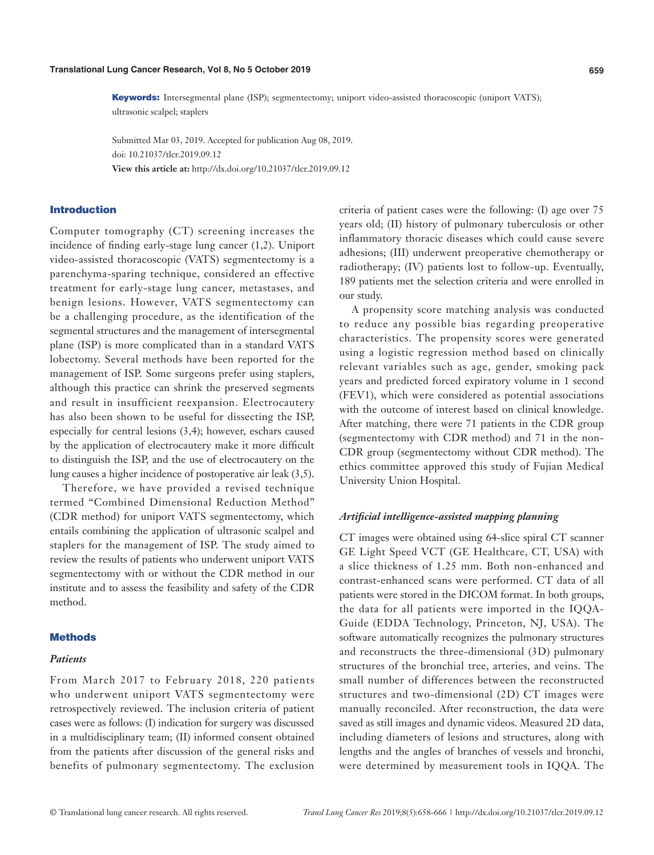Keywords: Intersegmental plane (ISP); segmentectomy; uniport video-assisted thoracoscopic (uniport VATS); ultrasonic scalpel; staplers

Submitted Mar 03, 2019. Accepted for publication Aug 08, 2019. doi: 10.21037/tlcr.2019.09.12 **View this article at:** http://dx.doi.org/10.21037/tlcr.2019.09.12

### Introduction

Computer tomography (CT) screening increases the incidence of finding early-stage lung cancer (1,2). Uniport video-assisted thoracoscopic (VATS) segmentectomy is a parenchyma-sparing technique, considered an effective treatment for early-stage lung cancer, metastases, and benign lesions. However, VATS segmentectomy can be a challenging procedure, as the identification of the segmental structures and the management of intersegmental plane (ISP) is more complicated than in a standard VATS lobectomy. Several methods have been reported for the management of ISP. Some surgeons prefer using staplers, although this practice can shrink the preserved segments and result in insufficient reexpansion. Electrocautery has also been shown to be useful for dissecting the ISP, especially for central lesions (3,4); however, eschars caused by the application of electrocautery make it more difficult to distinguish the ISP, and the use of electrocautery on the lung causes a higher incidence of postoperative air leak (3,5).

Therefore, we have provided a revised technique termed "Combined Dimensional Reduction Method" (CDR method) for uniport VATS segmentectomy, which entails combining the application of ultrasonic scalpel and staplers for the management of ISP. The study aimed to review the results of patients who underwent uniport VATS segmentectomy with or without the CDR method in our institute and to assess the feasibility and safety of the CDR method.

## **Methods**

### *Patients*

From March 2017 to February 2018, 220 patients who underwent uniport VATS segmentectomy were retrospectively reviewed. The inclusion criteria of patient cases were as follows: (I) indication for surgery was discussed in a multidisciplinary team; (II) informed consent obtained from the patients after discussion of the general risks and benefits of pulmonary segmentectomy. The exclusion

criteria of patient cases were the following: (I) age over 75 years old; (II) history of pulmonary tuberculosis or other inflammatory thoracic diseases which could cause severe adhesions; (III) underwent preoperative chemotherapy or radiotherapy; (IV) patients lost to follow-up. Eventually, 189 patients met the selection criteria and were enrolled in our study.

A propensity score matching analysis was conducted to reduce any possible bias regarding preoperative characteristics. The propensity scores were generated using a logistic regression method based on clinically relevant variables such as age, gender, smoking pack years and predicted forced expiratory volume in 1 second (FEV1), which were considered as potential associations with the outcome of interest based on clinical knowledge. After matching, there were 71 patients in the CDR group (segmentectomy with CDR method) and 71 in the non-CDR group (segmentectomy without CDR method). The ethics committee approved this study of Fujian Medical University Union Hospital.

### *Artificial intelligence-assisted mapping planning*

CT images were obtained using 64-slice spiral CT scanner GE Light Speed VCT (GE Healthcare, CT, USA) with a slice thickness of 1.25 mm. Both non-enhanced and contrast-enhanced scans were performed. CT data of all patients were stored in the DICOM format. In both groups, the data for all patients were imported in the IQQA-Guide (EDDA Technology, Princeton, NJ, USA). The software automatically recognizes the pulmonary structures and reconstructs the three-dimensional (3D) pulmonary structures of the bronchial tree, arteries, and veins. The small number of differences between the reconstructed structures and two-dimensional (2D) CT images were manually reconciled. After reconstruction, the data were saved as still images and dynamic videos. Measured 2D data, including diameters of lesions and structures, along with lengths and the angles of branches of vessels and bronchi, were determined by measurement tools in IQQA. The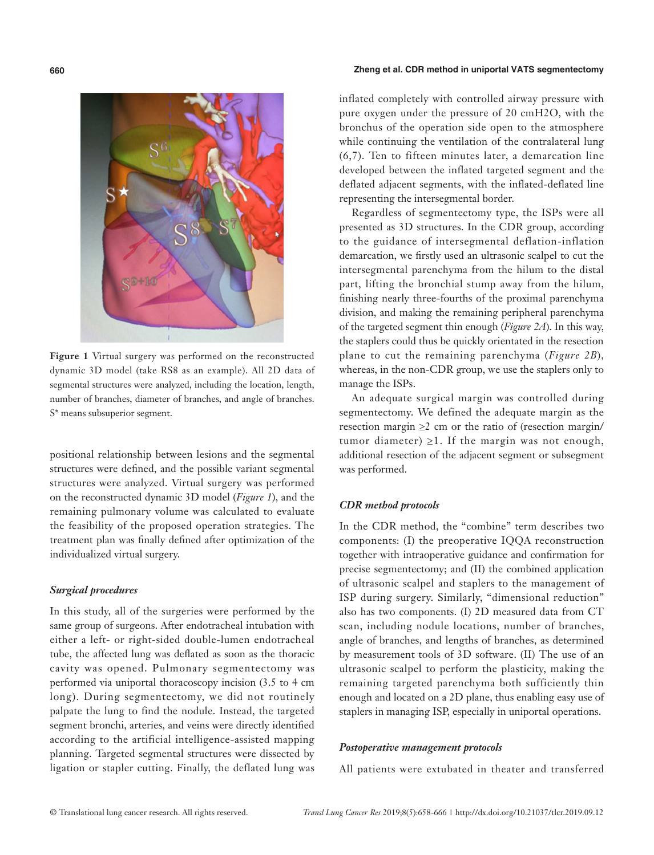# $S^{i}$

**Figure 1** Virtual surgery was performed on the reconstructed dynamic 3D model (take RS8 as an example). All 2D data of segmental structures were analyzed, including the location, length, number of branches, diameter of branches, and angle of branches. S\* means subsuperior segment.

positional relationship between lesions and the segmental structures were defined, and the possible variant segmental structures were analyzed. Virtual surgery was performed on the reconstructed dynamic 3D model (*Figure 1*), and the remaining pulmonary volume was calculated to evaluate the feasibility of the proposed operation strategies. The treatment plan was finally defined after optimization of the individualized virtual surgery.

### *Surgical procedures*

In this study, all of the surgeries were performed by the same group of surgeons. After endotracheal intubation with either a left- or right-sided double-lumen endotracheal tube, the affected lung was deflated as soon as the thoracic cavity was opened. Pulmonary segmentectomy was performed via uniportal thoracoscopy incision (3.5 to 4 cm long). During segmentectomy, we did not routinely palpate the lung to find the nodule. Instead, the targeted segment bronchi, arteries, and veins were directly identified according to the artificial intelligence-assisted mapping planning. Targeted segmental structures were dissected by ligation or stapler cutting. Finally, the deflated lung was

### **660 Zheng et al. CDR method in uniportal VATS segmentectomy**

inflated completely with controlled airway pressure with pure oxygen under the pressure of 20 cmH2O, with the bronchus of the operation side open to the atmosphere while continuing the ventilation of the contralateral lung (6,7). Ten to fifteen minutes later, a demarcation line developed between the inflated targeted segment and the deflated adjacent segments, with the inflated-deflated line representing the intersegmental border.

Regardless of segmentectomy type, the ISPs were all presented as 3D structures. In the CDR group, according to the guidance of intersegmental deflation-inflation demarcation, we firstly used an ultrasonic scalpel to cut the intersegmental parenchyma from the hilum to the distal part, lifting the bronchial stump away from the hilum, finishing nearly three-fourths of the proximal parenchyma division, and making the remaining peripheral parenchyma of the targeted segment thin enough (*Figure 2A*). In this way, the staplers could thus be quickly orientated in the resection plane to cut the remaining parenchyma (*Figure 2B*), whereas, in the non-CDR group, we use the staplers only to manage the ISPs.

An adequate surgical margin was controlled during segmentectomy. We defined the adequate margin as the resection margin  $\geq 2$  cm or the ratio of (resection margin/ tumor diameter)  $\geq 1$ . If the margin was not enough, additional resection of the adjacent segment or subsegment was performed.

### *CDR method protocols*

In the CDR method, the "combine" term describes two components: (I) the preoperative IQQA reconstruction together with intraoperative guidance and confirmation for precise segmentectomy; and (II) the combined application of ultrasonic scalpel and staplers to the management of ISP during surgery. Similarly, "dimensional reduction" also has two components. (I) 2D measured data from CT scan, including nodule locations, number of branches, angle of branches, and lengths of branches, as determined by measurement tools of 3D software. (II) The use of an ultrasonic scalpel to perform the plasticity, making the remaining targeted parenchyma both sufficiently thin enough and located on a 2D plane, thus enabling easy use of staplers in managing ISP, especially in uniportal operations.

### *Postoperative management protocols*

All patients were extubated in theater and transferred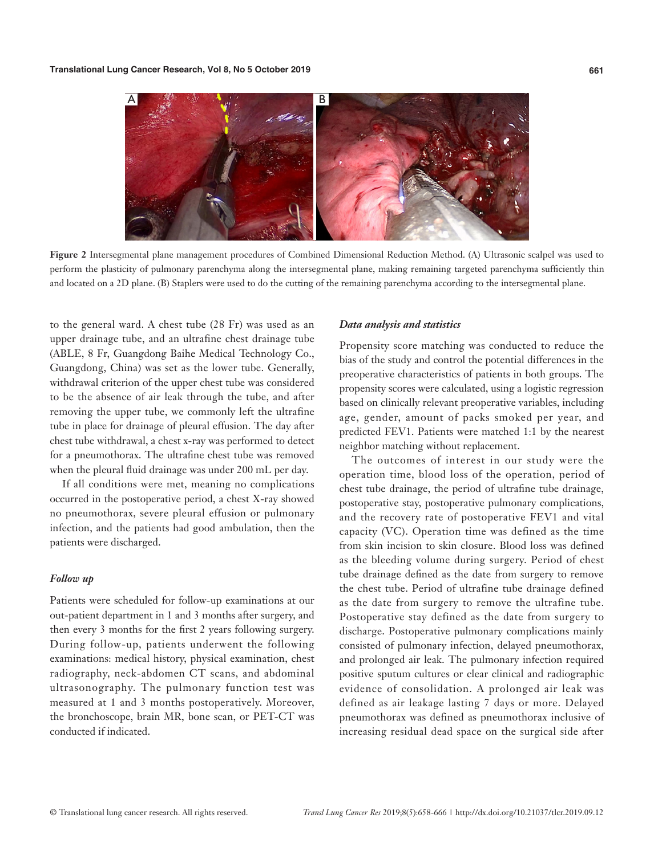

**Figure 2** Intersegmental plane management procedures of Combined Dimensional Reduction Method. (A) Ultrasonic scalpel was used to perform the plasticity of pulmonary parenchyma along the intersegmental plane, making remaining targeted parenchyma sufficiently thin and located on a 2D plane. (B) Staplers were used to do the cutting of the remaining parenchyma according to the intersegmental plane.

to the general ward. A chest tube (28 Fr) was used as an upper drainage tube, and an ultrafine chest drainage tube (ABLE, 8 Fr, Guangdong Baihe Medical Technology Co., Guangdong, China) was set as the lower tube. Generally, withdrawal criterion of the upper chest tube was considered to be the absence of air leak through the tube, and after removing the upper tube, we commonly left the ultrafine tube in place for drainage of pleural effusion. The day after chest tube withdrawal, a chest x-ray was performed to detect for a pneumothorax. The ultrafine chest tube was removed when the pleural fluid drainage was under 200 mL per day.

If all conditions were met, meaning no complications occurred in the postoperative period, a chest X-ray showed no pneumothorax, severe pleural effusion or pulmonary infection, and the patients had good ambulation, then the patients were discharged.

## *Follow up*

Patients were scheduled for follow-up examinations at our out-patient department in 1 and 3 months after surgery, and then every 3 months for the first 2 years following surgery. During follow-up, patients underwent the following examinations: medical history, physical examination, chest radiography, neck-abdomen CT scans, and abdominal ultrasonography. The pulmonary function test was measured at 1 and 3 months postoperatively. Moreover, the bronchoscope, brain MR, bone scan, or PET-CT was conducted if indicated.

### *Data analysis and statistics*

Propensity score matching was conducted to reduce the bias of the study and control the potential differences in the preoperative characteristics of patients in both groups. The propensity scores were calculated, using a logistic regression based on clinically relevant preoperative variables, including age, gender, amount of packs smoked per year, and predicted FEV1. Patients were matched 1:1 by the nearest neighbor matching without replacement.

The outcomes of interest in our study were the operation time, blood loss of the operation, period of chest tube drainage, the period of ultrafine tube drainage, postoperative stay, postoperative pulmonary complications, and the recovery rate of postoperative FEV1 and vital capacity (VC). Operation time was defined as the time from skin incision to skin closure. Blood loss was defined as the bleeding volume during surgery. Period of chest tube drainage defined as the date from surgery to remove the chest tube. Period of ultrafine tube drainage defined as the date from surgery to remove the ultrafine tube. Postoperative stay defined as the date from surgery to discharge. Postoperative pulmonary complications mainly consisted of pulmonary infection, delayed pneumothorax, and prolonged air leak. The pulmonary infection required positive sputum cultures or clear clinical and radiographic evidence of consolidation. A prolonged air leak was defined as air leakage lasting 7 days or more. Delayed pneumothorax was defined as pneumothorax inclusive of increasing residual dead space on the surgical side after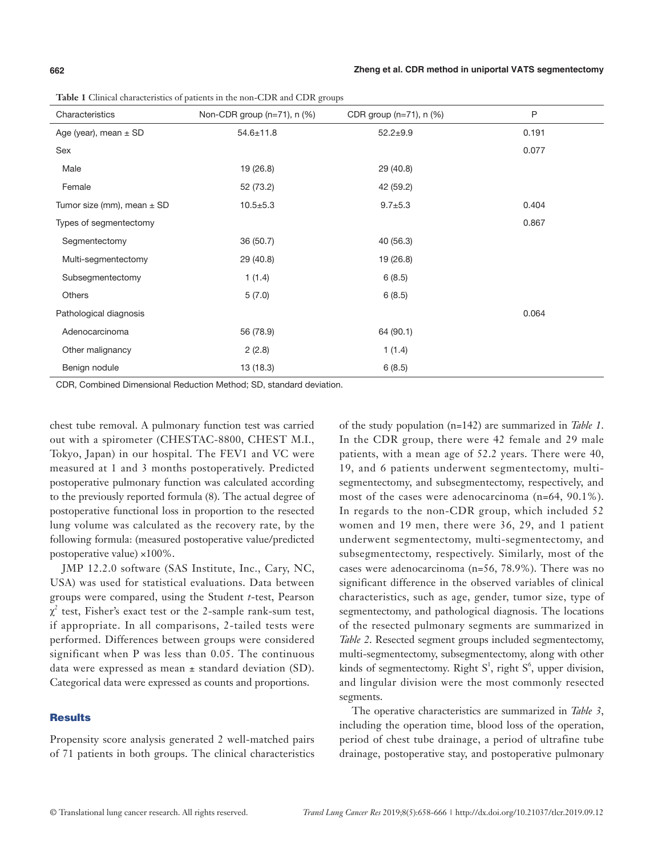**Table 1** Clinical characteristics of patients in the non-CDR and CDR groups

| Characteristics                | Non-CDR group (n=71), n (%) | CDR group (n=71), n (%) | P     |
|--------------------------------|-----------------------------|-------------------------|-------|
| Age (year), mean $\pm$ SD      | $54.6 \pm 11.8$             | $52.2 + 9.9$            | 0.191 |
| Sex                            |                             |                         | 0.077 |
| Male                           | 19 (26.8)                   | 29 (40.8)               |       |
| Female                         | 52 (73.2)                   | 42 (59.2)               |       |
| Tumor size (mm), mean $\pm$ SD | $10.5 \pm 5.3$              | $9.7 + 5.3$             | 0.404 |
| Types of segmentectomy         |                             |                         | 0.867 |
| Segmentectomy                  | 36 (50.7)                   | 40 (56.3)               |       |
| Multi-segmentectomy            | 29 (40.8)                   | 19 (26.8)               |       |
| Subsegmentectomy               | 1(1.4)                      | 6(8.5)                  |       |
| <b>Others</b>                  | 5(7.0)                      | 6(8.5)                  |       |
| Pathological diagnosis         |                             |                         | 0.064 |
| Adenocarcinoma                 | 56 (78.9)                   | 64 (90.1)               |       |
| Other malignancy               | 2(2.8)                      | 1(1.4)                  |       |
| Benign nodule                  | 13 (18.3)                   | 6(8.5)                  |       |

CDR, Combined Dimensional Reduction Method; SD, standard deviation.

chest tube removal. A pulmonary function test was carried out with a spirometer (CHESTAC-8800, CHEST M.I., Tokyo, Japan) in our hospital. The FEV1 and VC were measured at 1 and 3 months postoperatively. Predicted postoperative pulmonary function was calculated according to the previously reported formula (8). The actual degree of postoperative functional loss in proportion to the resected lung volume was calculated as the recovery rate, by the following formula: (measured postoperative value/predicted postoperative value) ×100%.

JMP 12.2.0 software (SAS Institute, Inc., Cary, NC, USA) was used for statistical evaluations. Data between groups were compared, using the Student *t*-test, Pearson  $\chi^2$  test, Fisher's exact test or the 2-sample rank-sum test, if appropriate. In all comparisons, 2-tailed tests were performed. Differences between groups were considered significant when P was less than 0.05. The continuous data were expressed as mean ± standard deviation (SD). Categorical data were expressed as counts and proportions.

### **Results**

Propensity score analysis generated 2 well-matched pairs of 71 patients in both groups. The clinical characteristics

of the study population (n=142) are summarized in *Table 1*. In the CDR group, there were 42 female and 29 male patients, with a mean age of 52.2 years. There were 40, 19, and 6 patients underwent segmentectomy, multisegmentectomy, and subsegmentectomy, respectively, and most of the cases were adenocarcinoma (n=64, 90.1%). In regards to the non-CDR group, which included 52 women and 19 men, there were 36, 29, and 1 patient underwent segmentectomy, multi-segmentectomy, and subsegmentectomy, respectively. Similarly, most of the cases were adenocarcinoma (n=56, 78.9%). There was no significant difference in the observed variables of clinical characteristics, such as age, gender, tumor size, type of segmentectomy, and pathological diagnosis. The locations of the resected pulmonary segments are summarized in *Table 2*. Resected segment groups included segmentectomy, multi-segmentectomy, subsegmentectomy, along with other kinds of segmentectomy. Right  $S^1$ , right  $S^6$ , upper division, and lingular division were the most commonly resected segments.

The operative characteristics are summarized in *Table 3*, including the operation time, blood loss of the operation, period of chest tube drainage, a period of ultrafine tube drainage, postoperative stay, and postoperative pulmonary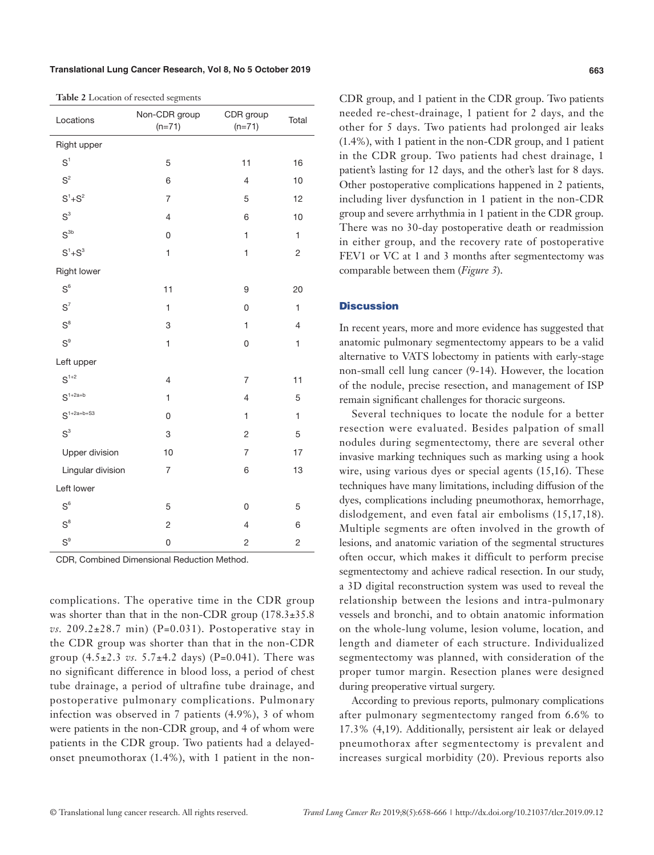### **Translational Lung Cancer Research, Vol 8, No 5 October 2019 663**

|  |  |  |  |  |  | Table 2 Location of resected segments |
|--|--|--|--|--|--|---------------------------------------|
|--|--|--|--|--|--|---------------------------------------|

| Locations          | Non-CDR group<br>$(n=71)$ | CDR group<br>$(n=71)$ | Total          |
|--------------------|---------------------------|-----------------------|----------------|
| Right upper        |                           |                       |                |
| S <sup>1</sup>     | 5                         | 11                    | 16             |
| S <sup>2</sup>     | 6                         | $\overline{4}$        | 10             |
| $S^1 + S^2$        | $\overline{7}$            | 5                     | 12             |
| S <sup>3</sup>     | $\overline{4}$            | 6                     | 10             |
| S <sup>3b</sup>    | 0                         | $\mathbf{1}$          | $\mathbf{1}$   |
| $S^1 + S^3$        | $\mathbf{1}$              | $\mathbf{1}$          | $\overline{2}$ |
| <b>Right lower</b> |                           |                       |                |
| $S^6$              | 11                        | 9                     | 20             |
| $S^7$              | $\mathbf{1}$              | $\overline{0}$        | $\mathbf{1}$   |
| $S^8$              | 3                         | $\mathbf{1}$          | $\overline{4}$ |
| S <sup>9</sup>     | $\mathbf{1}$              | 0                     | $\mathbf{1}$   |
| Left upper         |                           |                       |                |
| $S^{1+2}$          | $\overline{\mathcal{L}}$  | $\overline{7}$        | 11             |
| $S^{1+2a+b}$       | $\mathbf{1}$              | $\overline{4}$        | 5              |
| $S^{1+2a+b+S3}$    | 0                         | $\mathbf{1}$          | 1              |
| S <sup>3</sup>     | 3                         | $\overline{c}$        | 5              |
| Upper division     | 10                        | $\overline{7}$        | 17             |
| Lingular division  | 7                         | 6                     | 13             |
| Left lower         |                           |                       |                |
| $\text{S}^6$       | 5                         | 0                     | 5              |
| $S^8$              | $\overline{c}$            | $\overline{4}$        | 6              |
| $S^9$              | 0                         | $\overline{c}$        | $\overline{2}$ |

CDR, Combined Dimensional Reduction Method.

complications. The operative time in the CDR group was shorter than that in the non-CDR group  $(178.3\pm35.8$  $vs. 209.2\pm28.7$  min) (P=0.031). Postoperative stay in the CDR group was shorter than that in the non-CDR group  $(4.5 \pm 2.3 \text{ vs. } 5.7 \pm 4.2 \text{ days})$  (P=0.041). There was no significant difference in blood loss, a period of chest tube drainage, a period of ultrafine tube drainage, and postoperative pulmonary complications. Pulmonary infection was observed in 7 patients (4.9%), 3 of whom were patients in the non-CDR group, and 4 of whom were patients in the CDR group. Two patients had a delayedonset pneumothorax (1.4%), with 1 patient in the nonCDR group, and 1 patient in the CDR group. Two patients needed re-chest-drainage, 1 patient for 2 days, and the other for 5 days. Two patients had prolonged air leaks (1.4%), with 1 patient in the non-CDR group, and 1 patient in the CDR group. Two patients had chest drainage, 1 patient's lasting for 12 days, and the other's last for 8 days. Other postoperative complications happened in 2 patients, including liver dysfunction in 1 patient in the non-CDR group and severe arrhythmia in 1 patient in the CDR group. There was no 30-day postoperative death or readmission in either group, and the recovery rate of postoperative FEV1 or VC at 1 and 3 months after segmentectomy was comparable between them (*Figure 3*).

### **Discussion**

In recent years, more and more evidence has suggested that anatomic pulmonary segmentectomy appears to be a valid alternative to VATS lobectomy in patients with early-stage non-small cell lung cancer (9-14). However, the location of the nodule, precise resection, and management of ISP remain significant challenges for thoracic surgeons.

Several techniques to locate the nodule for a better resection were evaluated. Besides palpation of small nodules during segmentectomy, there are several other invasive marking techniques such as marking using a hook wire, using various dyes or special agents (15,16). These techniques have many limitations, including diffusion of the dyes, complications including pneumothorax, hemorrhage, dislodgement, and even fatal air embolisms (15,17,18). Multiple segments are often involved in the growth of lesions, and anatomic variation of the segmental structures often occur, which makes it difficult to perform precise segmentectomy and achieve radical resection. In our study, a 3D digital reconstruction system was used to reveal the relationship between the lesions and intra-pulmonary vessels and bronchi, and to obtain anatomic information on the whole-lung volume, lesion volume, location, and length and diameter of each structure. Individualized segmentectomy was planned, with consideration of the proper tumor margin. Resection planes were designed during preoperative virtual surgery.

According to previous reports, pulmonary complications after pulmonary segmentectomy ranged from 6.6% to 17.3% (4,19). Additionally, persistent air leak or delayed pneumothorax after segmentectomy is prevalent and increases surgical morbidity (20). Previous reports also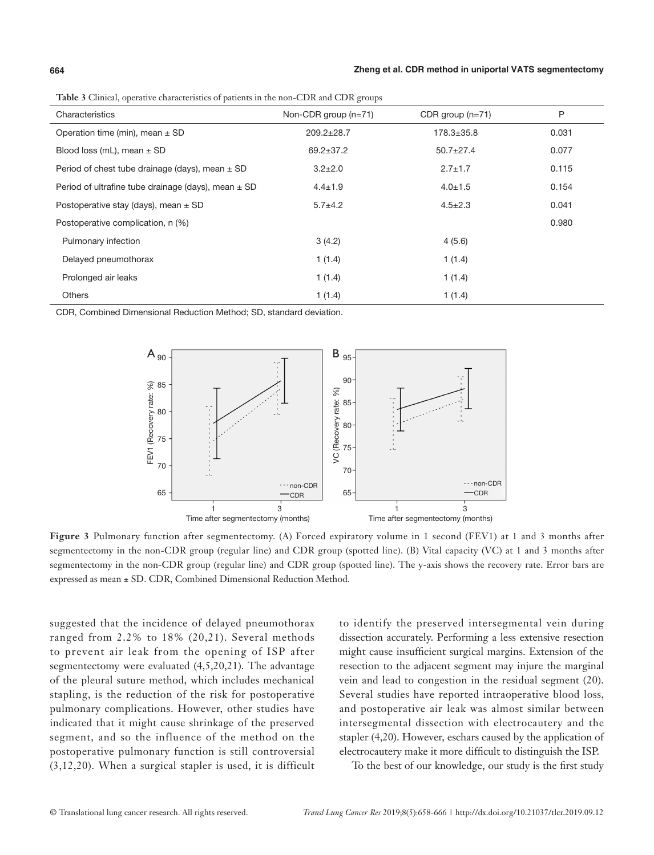### **664 Zheng et al. CDR method in uniportal VATS segmentectomy**

**Table 3** Clinical, operative characteristics of patients in the non-CDR and CDR groups

| <u>xwee a community operative engravements of patients in the hold cas it and cas it groups</u> |                        |                    |       |  |  |  |
|-------------------------------------------------------------------------------------------------|------------------------|--------------------|-------|--|--|--|
| Characteristics                                                                                 | Non-CDR group $(n=71)$ | CDR group $(n=71)$ | P     |  |  |  |
| Operation time (min), mean $\pm$ SD                                                             | $209.2 \pm 28.7$       | $178.3 \pm 35.8$   | 0.031 |  |  |  |
| Blood loss (mL), mean $\pm$ SD                                                                  | $69.2 \pm 37.2$        | $50.7 \pm 27.4$    | 0.077 |  |  |  |
| Period of chest tube drainage (days), mean $\pm$ SD                                             | $3.2 \pm 2.0$          | $2.7 \pm 1.7$      | 0.115 |  |  |  |
| Period of ultrafine tube drainage (days), mean $\pm$ SD                                         | $4.4 \pm 1.9$          | $4.0 \pm 1.5$      | 0.154 |  |  |  |
| Postoperative stay (days), mean $\pm$ SD                                                        | $5.7 + 4.2$            | $4.5 \pm 2.3$      | 0.041 |  |  |  |
| Postoperative complication, n (%)                                                               |                        |                    | 0.980 |  |  |  |
| Pulmonary infection                                                                             | 3(4.2)                 | 4(5.6)             |       |  |  |  |
| Delayed pneumothorax                                                                            | 1(1.4)                 | 1(1.4)             |       |  |  |  |
| Prolonged air leaks                                                                             | 1(1.4)                 | 1(1.4)             |       |  |  |  |
| <b>Others</b>                                                                                   | 1(1.4)                 | 1(1.4)             |       |  |  |  |

CDR, Combined Dimensional Reduction Method; SD, standard deviation.



**Figure 3** Pulmonary function after segmentectomy. (A) Forced expiratory volume in 1 second (FEV1) at 1 and 3 months after segmentectomy in the non-CDR group (regular line) and CDR group (spotted line). (B) Vital capacity (VC) at 1 and 3 months after segmentectomy in the non-CDR group (regular line) and CDR group (spotted line). The y-axis shows the recovery rate. Error bars are expressed as mean ± SD. CDR, Combined Dimensional Reduction Method.

suggested that the incidence of delayed pneumothorax ranged from 2.2% to 18% (20,21). Several methods to prevent air leak from the opening of ISP after segmentectomy were evaluated (4,5,20,21). The advantage of the pleural suture method, which includes mechanical stapling, is the reduction of the risk for postoperative pulmonary complications. However, other studies have indicated that it might cause shrinkage of the preserved segment, and so the influence of the method on the postoperative pulmonary function is still controversial (3,12,20). When a surgical stapler is used, it is difficult

to identify the preserved intersegmental vein during dissection accurately. Performing a less extensive resection might cause insufficient surgical margins. Extension of the resection to the adjacent segment may injure the marginal vein and lead to congestion in the residual segment (20). Several studies have reported intraoperative blood loss, and postoperative air leak was almost similar between intersegmental dissection with electrocautery and the stapler (4,20). However, eschars caused by the application of electrocautery make it more difficult to distinguish the ISP.

To the best of our knowledge, our study is the first study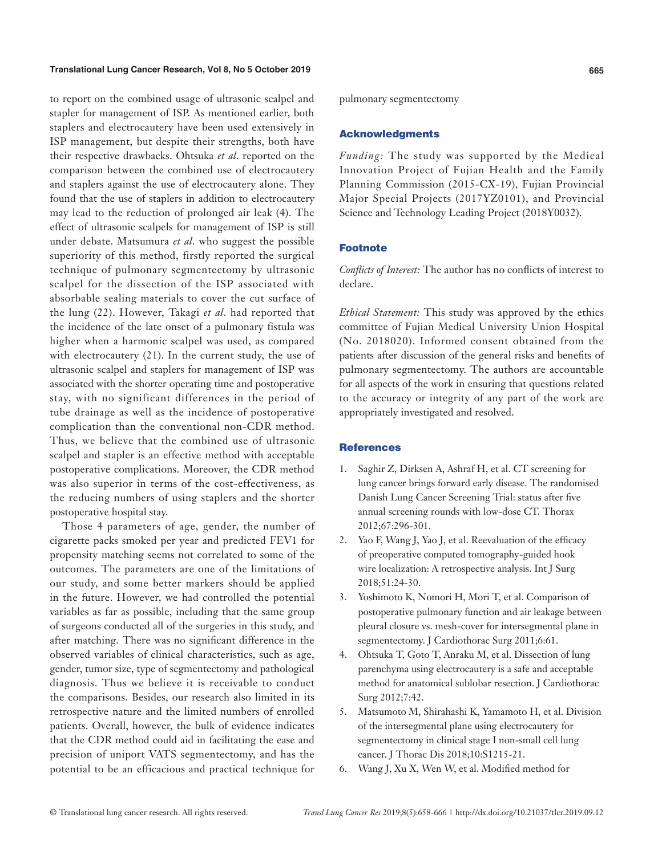### **Translational Lung Cancer Research, Vol 8, No 5 October 2019 665**

to report on the combined usage of ultrasonic scalpel and stapler for management of ISP. As mentioned earlier, both staplers and electrocautery have been used extensively in ISP management, but despite their strengths, both have their respective drawbacks. Ohtsuka *et al*. reported on the comparison between the combined use of electrocautery and staplers against the use of electrocautery alone. They found that the use of staplers in addition to electrocautery may lead to the reduction of prolonged air leak (4). The effect of ultrasonic scalpels for management of ISP is still under debate. Matsumura *et al*. who suggest the possible superiority of this method, firstly reported the surgical technique of pulmonary segmentectomy by ultrasonic scalpel for the dissection of the ISP associated with absorbable sealing materials to cover the cut surface of the lung (22). However, Takagi *et al*. had reported that the incidence of the late onset of a pulmonary fistula was higher when a harmonic scalpel was used, as compared with electrocautery (21). In the current study, the use of ultrasonic scalpel and staplers for management of ISP was associated with the shorter operating time and postoperative stay, with no significant differences in the period of tube drainage as well as the incidence of postoperative complication than the conventional non-CDR method. Thus, we believe that the combined use of ultrasonic scalpel and stapler is an effective method with acceptable postoperative complications. Moreover, the CDR method was also superior in terms of the cost-effectiveness, as the reducing numbers of using staplers and the shorter postoperative hospital stay.

Those 4 parameters of age, gender, the number of cigarette packs smoked per year and predicted FEV1 for propensity matching seems not correlated to some of the outcomes. The parameters are one of the limitations of our study, and some better markers should be applied in the future. However, we had controlled the potential variables as far as possible, including that the same group of surgeons conducted all of the surgeries in this study, and after matching. There was no significant difference in the observed variables of clinical characteristics, such as age, gender, tumor size, type of segmentectomy and pathological diagnosis. Thus we believe it is receivable to conduct the comparisons. Besides, our research also limited in its retrospective nature and the limited numbers of enrolled patients. Overall, however, the bulk of evidence indicates that the CDR method could aid in facilitating the ease and precision of uniport VATS segmentectomy, and has the potential to be an efficacious and practical technique for pulmonary segmentectomy

### Acknowledgments

*Funding:* The study was supported by the Medical Innovation Project of Fujian Health and the Family Planning Commission (2015-CX-19), Fujian Provincial Major Special Projects (2017YZ0101), and Provincial Science and Technology Leading Project (2018Y0032).

## Footnote

*Conflicts of Interest:* The author has no conflicts of interest to declare.

*Ethical Statement:* This study was approved by the ethics committee of Fujian Medical University Union Hospital (No. 2018020). Informed consent obtained from the patients after discussion of the general risks and benefits of pulmonary segmentectomy. The authors are accountable for all aspects of the work in ensuring that questions related to the accuracy or integrity of any part of the work are appropriately investigated and resolved.

### **References**

- 1. Saghir Z, Dirksen A, Ashraf H, et al. CT screening for lung cancer brings forward early disease. The randomised Danish Lung Cancer Screening Trial: status after five annual screening rounds with low-dose CT. Thorax 2012;67:296-301.
- 2. Yao F, Wang J, Yao J, et al. Reevaluation of the efficacy of preoperative computed tomography-guided hook wire localization: A retrospective analysis. Int J Surg 2018;51:24-30.
- 3. Yoshimoto K, Nomori H, Mori T, et al. Comparison of postoperative pulmonary function and air leakage between pleural closure vs. mesh-cover for intersegmental plane in segmentectomy. J Cardiothorac Surg 2011;6:61.
- 4. Ohtsuka T, Goto T, Anraku M, et al. Dissection of lung parenchyma using electrocautery is a safe and acceptable method for anatomical sublobar resection. J Cardiothorac Surg 2012;7:42.
- 5. Matsumoto M, Shirahashi K, Yamamoto H, et al. Division of the intersegmental plane using electrocautery for segmentectomy in clinical stage I non-small cell lung cancer. J Thorac Dis 2018;10:S1215-21.
- 6. Wang J, Xu X, Wen W, et al. Modified method for